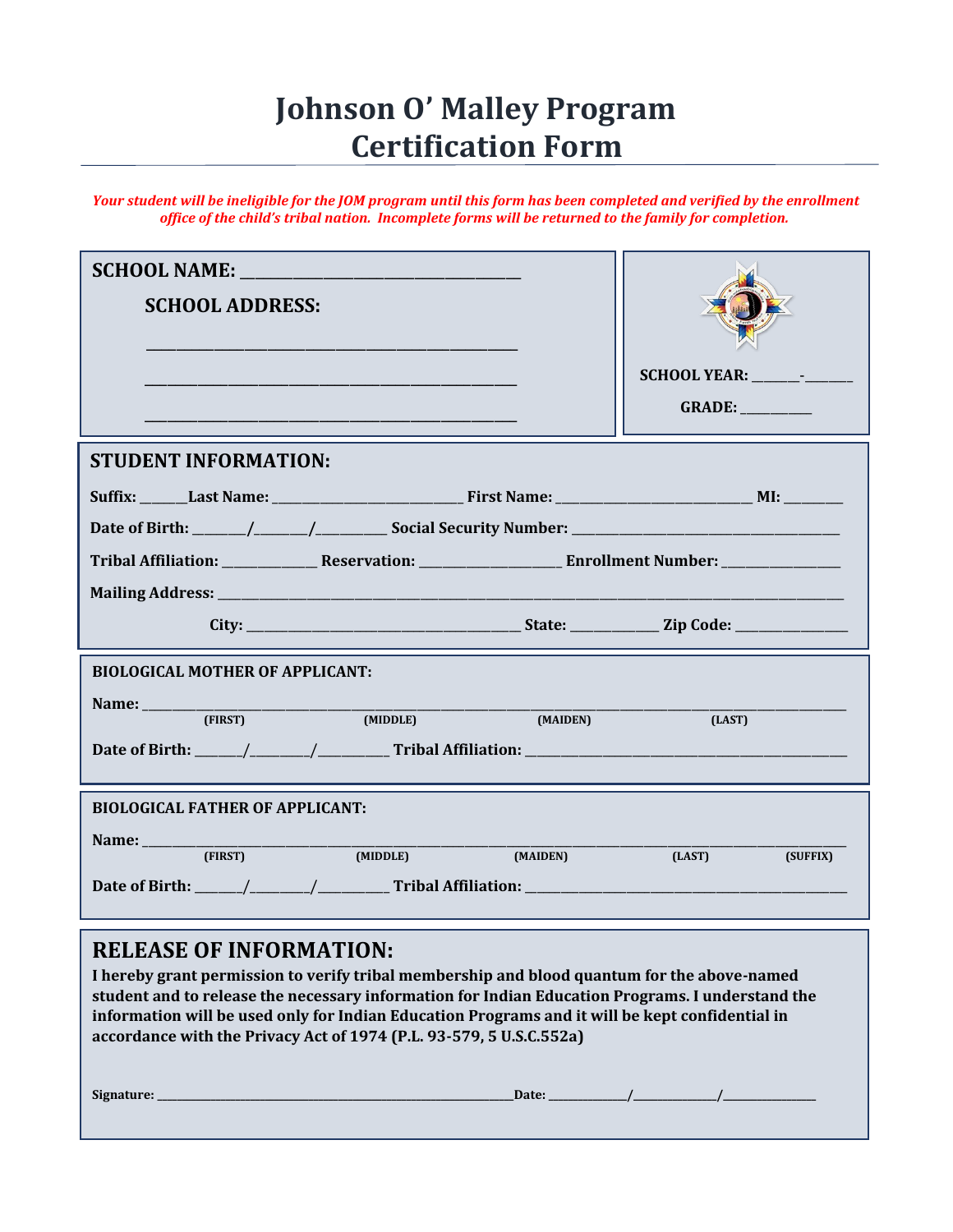## **Johnson O' Malley Program Certification Form**

*Your student will be ineligible for the JOM program until this form has been completed and verified by the enrollment office of the child's tribal nation. Incomplete forms will be returned to the family for completion.*

| <b>SCHOOL NAME:</b> And the state of the state of the state of the state of the state of the state of the state of the state of the state of the state of the state of the state of the state of the state of the state of the stat                                                                                                                                                                                   |                    |
|-----------------------------------------------------------------------------------------------------------------------------------------------------------------------------------------------------------------------------------------------------------------------------------------------------------------------------------------------------------------------------------------------------------------------|--------------------|
| <b>SCHOOL ADDRESS:</b>                                                                                                                                                                                                                                                                                                                                                                                                |                    |
|                                                                                                                                                                                                                                                                                                                                                                                                                       |                    |
|                                                                                                                                                                                                                                                                                                                                                                                                                       |                    |
|                                                                                                                                                                                                                                                                                                                                                                                                                       | GRADE:             |
|                                                                                                                                                                                                                                                                                                                                                                                                                       |                    |
| <b>STUDENT INFORMATION:</b>                                                                                                                                                                                                                                                                                                                                                                                           |                    |
|                                                                                                                                                                                                                                                                                                                                                                                                                       |                    |
|                                                                                                                                                                                                                                                                                                                                                                                                                       |                    |
|                                                                                                                                                                                                                                                                                                                                                                                                                       |                    |
|                                                                                                                                                                                                                                                                                                                                                                                                                       |                    |
|                                                                                                                                                                                                                                                                                                                                                                                                                       |                    |
| <b>BIOLOGICAL MOTHER OF APPLICANT:</b>                                                                                                                                                                                                                                                                                                                                                                                |                    |
| Name: (FIRST) (MIDDLE) (MAIDEN)                                                                                                                                                                                                                                                                                                                                                                                       |                    |
|                                                                                                                                                                                                                                                                                                                                                                                                                       | (LAST)             |
|                                                                                                                                                                                                                                                                                                                                                                                                                       |                    |
| <b>BIOLOGICAL FATHER OF APPLICANT:</b>                                                                                                                                                                                                                                                                                                                                                                                |                    |
| Name:                                                                                                                                                                                                                                                                                                                                                                                                                 |                    |
| (FIRST)<br>(MIDDLE)<br>(MAIDEN)                                                                                                                                                                                                                                                                                                                                                                                       | (LAST)<br>(SUFFIX) |
| Date of Birth: $\frac{1}{\sqrt{1-\frac{1}{\sqrt{1-\frac{1}{\sqrt{1-\frac{1}{\sqrt{1-\frac{1}{\sqrt{1-\frac{1}{\sqrt{1-\frac{1}{\sqrt{1-\frac{1}{\sqrt{1-\frac{1}{\sqrt{1-\frac{1}{\sqrt{1-\frac{1}{\sqrt{1-\frac{1}{\sqrt{1-\frac{1}{\sqrt{1-\frac{1}{\sqrt{1-\frac{1}{\sqrt{1-\frac{1}{\sqrt{1-\frac{1}{\sqrt{1-\frac{1}{\sqrt{1-\frac{1}{\sqrt{1-\frac{1}{\sqrt{1-\frac{1}{\sqrt{1-\frac{1}{\sqrt{1-\frac{1}{\sqrt$ |                    |
| <b>RELEASE OF INFORMATION:</b>                                                                                                                                                                                                                                                                                                                                                                                        |                    |
| I hereby grant permission to verify tribal membership and blood quantum for the above-named                                                                                                                                                                                                                                                                                                                           |                    |
| student and to release the necessary information for Indian Education Programs. I understand the                                                                                                                                                                                                                                                                                                                      |                    |
| information will be used only for Indian Education Programs and it will be kept confidential in                                                                                                                                                                                                                                                                                                                       |                    |

**accordance with the Privacy Act of 1974 (P.L. 93-579, 5 U.S.C.552a)**

**Signature: \_\_\_\_\_\_\_\_\_\_\_\_\_\_\_\_\_\_\_\_\_\_\_\_\_\_\_\_\_\_\_\_\_\_\_\_\_\_\_\_\_\_\_\_\_\_\_\_\_\_\_\_\_\_\_\_\_\_\_\_\_\_\_\_\_\_\_\_\_\_\_\_\_Date: \_\_\_\_\_\_\_\_\_\_\_\_\_\_\_\_/\_\_\_\_\_\_\_\_\_\_\_\_\_\_\_\_\_/\_\_\_\_\_\_\_\_\_\_\_\_\_\_\_\_\_\_\_**